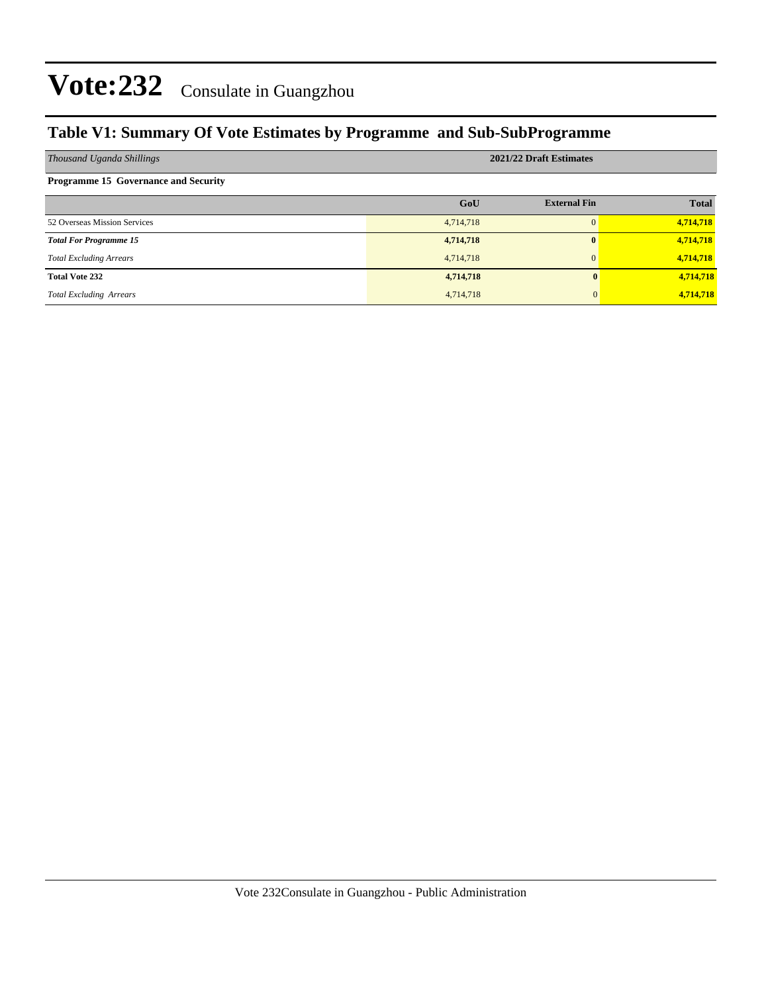### **Table V1: Summary Of Vote Estimates by Programme and Sub-SubProgramme**

| Thousand Uganda Shillings                   | 2021/22 Draft Estimates |                     |              |  |  |  |
|---------------------------------------------|-------------------------|---------------------|--------------|--|--|--|
| <b>Programme 15 Governance and Security</b> |                         |                     |              |  |  |  |
|                                             | GoU                     | <b>External Fin</b> | <b>Total</b> |  |  |  |
| 52 Overseas Mission Services                | 4,714,718               | $\Omega$            | 4,714,718    |  |  |  |
| <b>Total For Programme 15</b>               | 4,714,718               | $\mathbf{0}$        | 4,714,718    |  |  |  |
| <b>Total Excluding Arrears</b>              | 4,714,718               | $\Omega$            | 4,714,718    |  |  |  |
| <b>Total Vote 232</b>                       | 4,714,718               |                     | 4,714,718    |  |  |  |
| <b>Total Excluding Arrears</b>              | 4,714,718               |                     | 4,714,718    |  |  |  |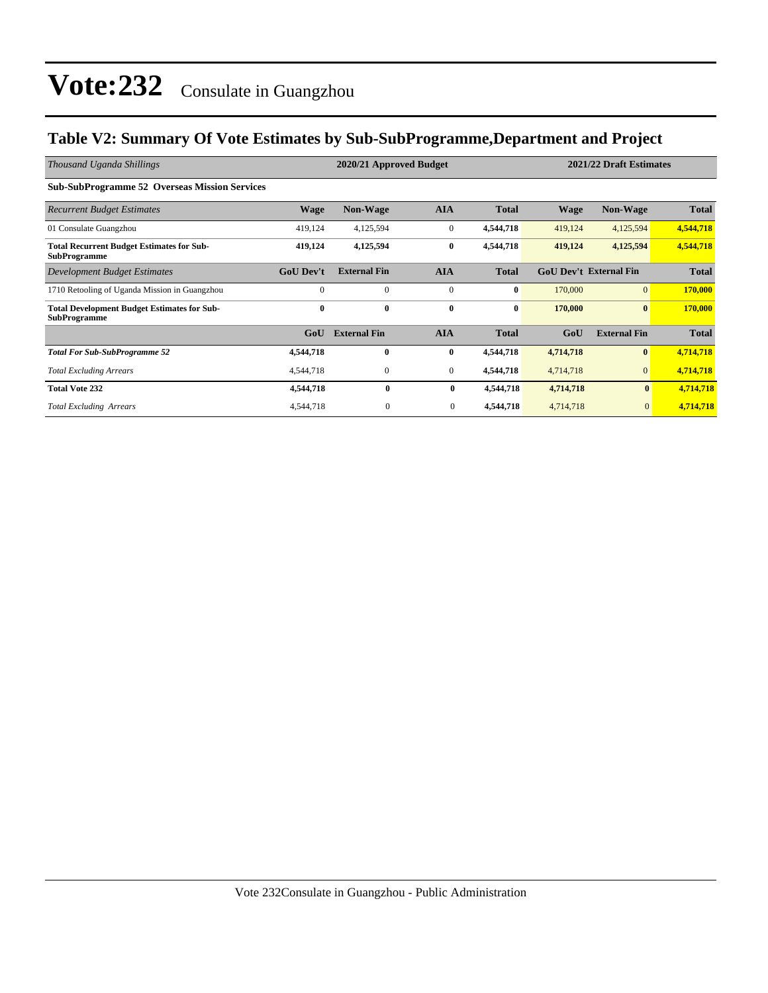#### **Table V2: Summary Of Vote Estimates by Sub-SubProgramme,Department and Project**

| Thousand Uganda Shillings                                                 |                  | 2020/21 Approved Budget |              | 2021/22 Draft Estimates |           |                               |              |
|---------------------------------------------------------------------------|------------------|-------------------------|--------------|-------------------------|-----------|-------------------------------|--------------|
| <b>Sub-SubProgramme 52 Overseas Mission Services</b>                      |                  |                         |              |                         |           |                               |              |
| <b>Recurrent Budget Estimates</b>                                         | <b>Wage</b>      | <b>Non-Wage</b>         | <b>AIA</b>   | <b>Total</b>            | Wage      | <b>Non-Wage</b>               | <b>Total</b> |
| 01 Consulate Guangzhou                                                    | 419,124          | 4,125,594               | $\mathbf{0}$ | 4,544,718               | 419,124   | 4,125,594                     | 4,544,718    |
| <b>Total Recurrent Budget Estimates for Sub-</b><br><b>SubProgramme</b>   | 419,124          | 4,125,594               | $\bf{0}$     | 4,544,718               | 419,124   | 4,125,594                     | 4,544,718    |
| Development Budget Estimates                                              | <b>GoU Dev't</b> | <b>External Fin</b>     | <b>AIA</b>   | <b>Total</b>            |           | <b>GoU Dev't External Fin</b> | <b>Total</b> |
| 1710 Retooling of Uganda Mission in Guangzhou                             | $\Omega$         | $\Omega$                | $\mathbf{0}$ | $\bf{0}$                | 170,000   | $\overline{0}$                | 170,000      |
| <b>Total Development Budget Estimates for Sub-</b><br><b>SubProgramme</b> | $\bf{0}$         | $\bf{0}$                | $\bf{0}$     | $\bf{0}$                | 170,000   | $\bf{0}$                      | 170,000      |
|                                                                           | GoU              | <b>External Fin</b>     | <b>AIA</b>   | <b>Total</b>            | GoU       | <b>External Fin</b>           | <b>Total</b> |
| <b>Total For Sub-SubProgramme 52</b>                                      | 4,544,718        | $\mathbf{0}$            | $\bf{0}$     | 4,544,718               | 4,714,718 | $\mathbf{0}$                  | 4,714,718    |
| <b>Total Excluding Arrears</b>                                            | 4,544,718        | $\mathbf{0}$            | $\mathbf{0}$ | 4,544,718               | 4,714,718 | $\mathbf{0}$                  | 4,714,718    |
| <b>Total Vote 232</b>                                                     | 4,544,718        | $\bf{0}$                | $\bf{0}$     | 4,544,718               | 4,714,718 | $\bf{0}$                      | 4,714,718    |
| <b>Total Excluding Arrears</b>                                            | 4,544,718        | $\boldsymbol{0}$        | $\mathbf{0}$ | 4,544,718               | 4,714,718 | $\mathbf{0}$                  | 4,714,718    |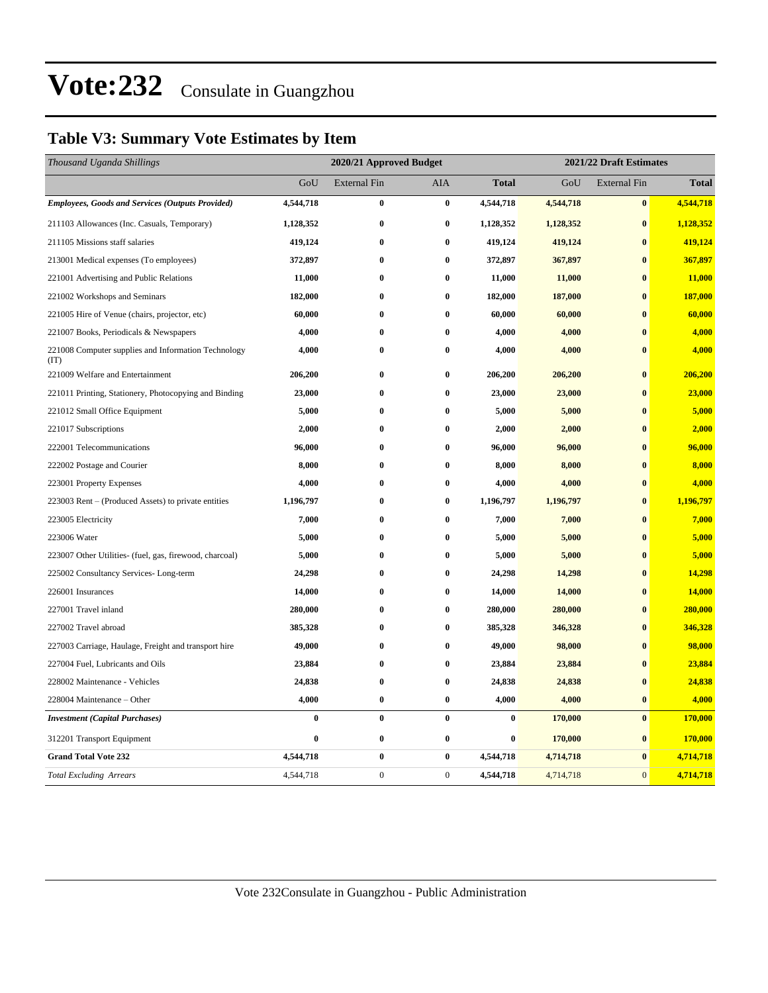### **Table V3: Summary Vote Estimates by Item**

| Thousand Uganda Shillings                                   | 2020/21 Approved Budget |                     |                  |              | 2021/22 Draft Estimates |                     |              |  |
|-------------------------------------------------------------|-------------------------|---------------------|------------------|--------------|-------------------------|---------------------|--------------|--|
|                                                             | GoU                     | <b>External Fin</b> | AIA              | <b>Total</b> | GoU                     | <b>External Fin</b> | <b>Total</b> |  |
| <b>Employees, Goods and Services (Outputs Provided)</b>     | 4,544,718               | $\bf{0}$            | $\bf{0}$         | 4,544,718    | 4,544,718               | $\bf{0}$            | 4,544,718    |  |
| 211103 Allowances (Inc. Casuals, Temporary)                 | 1,128,352               | $\bf{0}$            | $\bf{0}$         | 1,128,352    | 1,128,352               | $\bf{0}$            | 1,128,352    |  |
| 211105 Missions staff salaries                              | 419,124                 | $\bf{0}$            | $\bf{0}$         | 419,124      | 419,124                 | $\bf{0}$            | 419,124      |  |
| 213001 Medical expenses (To employees)                      | 372,897                 | $\bf{0}$            | $\bf{0}$         | 372,897      | 367,897                 | $\bf{0}$            | 367,897      |  |
| 221001 Advertising and Public Relations                     | 11,000                  | $\bf{0}$            | $\bf{0}$         | 11,000       | 11,000                  | $\bf{0}$            | 11,000       |  |
| 221002 Workshops and Seminars                               | 182,000                 | $\bf{0}$            | $\bf{0}$         | 182,000      | 187,000                 | $\bf{0}$            | 187,000      |  |
| 221005 Hire of Venue (chairs, projector, etc)               | 60,000                  | $\bf{0}$            | $\bf{0}$         | 60,000       | 60,000                  | $\mathbf{0}$        | 60,000       |  |
| 221007 Books, Periodicals & Newspapers                      | 4,000                   | $\bf{0}$            | $\bf{0}$         | 4,000        | 4,000                   | $\bf{0}$            | 4,000        |  |
| 221008 Computer supplies and Information Technology<br>(TT) | 4,000                   | $\bf{0}$            | $\bf{0}$         | 4,000        | 4,000                   | $\bf{0}$            | 4,000        |  |
| 221009 Welfare and Entertainment                            | 206,200                 | $\bf{0}$            | $\bf{0}$         | 206,200      | 206,200                 | $\bf{0}$            | 206,200      |  |
| 221011 Printing, Stationery, Photocopying and Binding       | 23,000                  | $\bf{0}$            | $\bf{0}$         | 23,000       | 23,000                  | $\bf{0}$            | 23,000       |  |
| 221012 Small Office Equipment                               | 5,000                   | $\bf{0}$            | $\bf{0}$         | 5,000        | 5,000                   | $\bf{0}$            | 5,000        |  |
| 221017 Subscriptions                                        | 2,000                   | $\bf{0}$            | $\bf{0}$         | 2,000        | 2,000                   | $\bf{0}$            | 2,000        |  |
| 222001 Telecommunications                                   | 96,000                  | $\bf{0}$            | $\bf{0}$         | 96,000       | 96,000                  | $\bf{0}$            | 96,000       |  |
| 222002 Postage and Courier                                  | 8,000                   | $\bf{0}$            | $\bf{0}$         | 8,000        | 8,000                   | $\bf{0}$            | 8,000        |  |
| 223001 Property Expenses                                    | 4,000                   | $\bf{0}$            | $\bf{0}$         | 4,000        | 4,000                   | $\bf{0}$            | 4,000        |  |
| 223003 Rent - (Produced Assets) to private entities         | 1,196,797               | $\bf{0}$            | $\bf{0}$         | 1,196,797    | 1,196,797               | $\mathbf{0}$        | 1,196,797    |  |
| 223005 Electricity                                          | 7,000                   | $\bf{0}$            | $\bf{0}$         | 7,000        | 7,000                   | $\bf{0}$            | 7,000        |  |
| 223006 Water                                                | 5,000                   | $\bf{0}$            | $\bf{0}$         | 5,000        | 5,000                   | $\bf{0}$            | 5,000        |  |
| 223007 Other Utilities- (fuel, gas, firewood, charcoal)     | 5,000                   | $\bf{0}$            | $\bf{0}$         | 5,000        | 5,000                   | $\bf{0}$            | 5,000        |  |
| 225002 Consultancy Services-Long-term                       | 24,298                  | $\bf{0}$            | $\bf{0}$         | 24,298       | 14,298                  | $\bf{0}$            | 14,298       |  |
| 226001 Insurances                                           | 14,000                  | $\bf{0}$            | $\bf{0}$         | 14,000       | 14,000                  | $\bf{0}$            | 14,000       |  |
| 227001 Travel inland                                        | 280,000                 | $\bf{0}$            | $\bf{0}$         | 280,000      | 280,000                 | $\mathbf{0}$        | 280,000      |  |
| 227002 Travel abroad                                        | 385,328                 | $\bf{0}$            | $\bf{0}$         | 385,328      | 346,328                 | $\bf{0}$            | 346,328      |  |
| 227003 Carriage, Haulage, Freight and transport hire        | 49,000                  | $\bf{0}$            | $\bf{0}$         | 49,000       | 98,000                  | $\bf{0}$            | 98,000       |  |
| 227004 Fuel, Lubricants and Oils                            | 23,884                  | $\bf{0}$            | $\bf{0}$         | 23,884       | 23,884                  | $\bf{0}$            | 23,884       |  |
| 228002 Maintenance - Vehicles                               | 24,838                  | $\bf{0}$            | $\bf{0}$         | 24,838       | 24,838                  | $\bf{0}$            | 24,838       |  |
| 228004 Maintenance - Other                                  | 4,000                   | $\bf{0}$            | $\boldsymbol{0}$ | 4,000        | 4,000                   | $\bf{0}$            | 4,000        |  |
| <b>Investment</b> (Capital Purchases)                       | $\bf{0}$                | $\pmb{0}$           | $\bf{0}$         | $\bf{0}$     | 170,000                 | $\bf{0}$            | 170,000      |  |
| 312201 Transport Equipment                                  | $\bf{0}$                | $\bf{0}$            | $\bf{0}$         | $\bf{0}$     | 170,000                 | $\bf{0}$            | 170,000      |  |
| <b>Grand Total Vote 232</b>                                 | 4,544,718               | $\boldsymbol{0}$    | $\bf{0}$         | 4,544,718    | 4,714,718               | $\bf{0}$            | 4,714,718    |  |
| <b>Total Excluding Arrears</b>                              | 4,544,718               | $\boldsymbol{0}$    | $\mathbf{0}$     | 4,544,718    | 4,714,718               | $\mathbf{0}$        | 4,714,718    |  |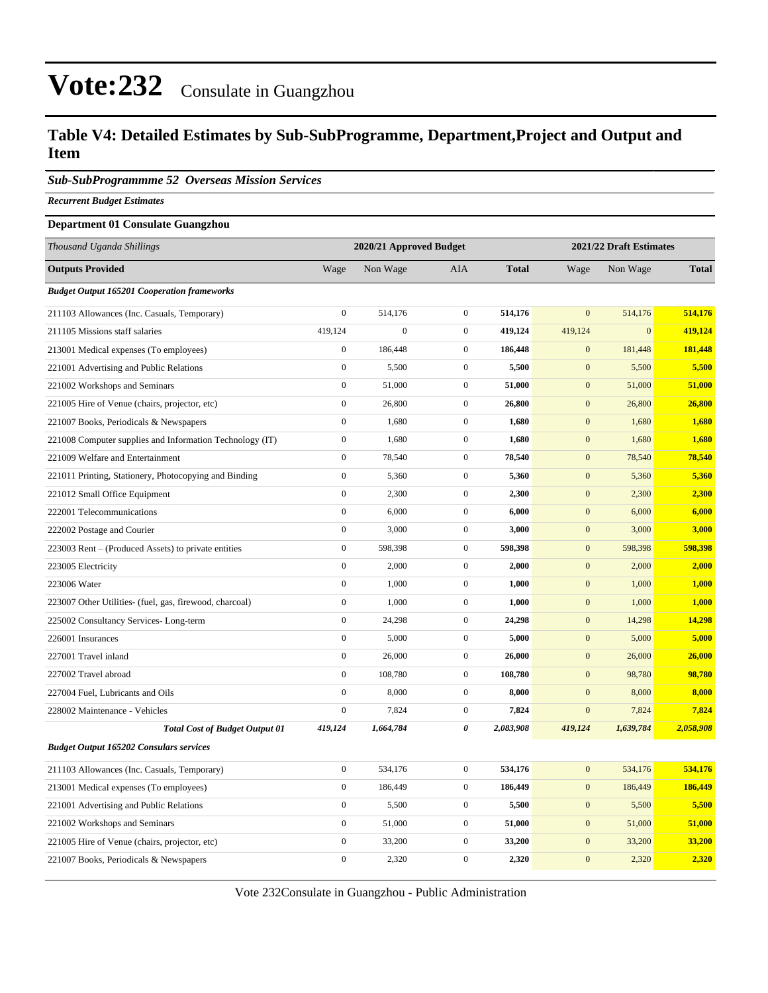#### **Table V4: Detailed Estimates by Sub-SubProgramme, Department,Project and Output and Item**

*Sub-SubProgrammme 52 Overseas Mission Services*

*Recurrent Budget Estimates*

#### **Department 01 Consulate Guangzhou**

| Thousand Uganda Shillings                                |                  | 2020/21 Approved Budget |                  | 2021/22 Draft Estimates |                  |              |              |
|----------------------------------------------------------|------------------|-------------------------|------------------|-------------------------|------------------|--------------|--------------|
| <b>Outputs Provided</b>                                  | Wage             | Non Wage                | <b>AIA</b>       | <b>Total</b>            | Wage             | Non Wage     | <b>Total</b> |
| <b>Budget Output 165201 Cooperation frameworks</b>       |                  |                         |                  |                         |                  |              |              |
| 211103 Allowances (Inc. Casuals, Temporary)              | $\mathbf{0}$     | 514,176                 | $\boldsymbol{0}$ | 514,176                 | $\mathbf{0}$     | 514,176      | 514,176      |
| 211105 Missions staff salaries                           | 419,124          | $\overline{0}$          | $\boldsymbol{0}$ | 419,124                 | 419,124          | $\mathbf{0}$ | 419,124      |
| 213001 Medical expenses (To employees)                   | $\overline{0}$   | 186,448                 | $\mathbf{0}$     | 186,448                 | $\overline{0}$   | 181,448      | 181,448      |
| 221001 Advertising and Public Relations                  | $\boldsymbol{0}$ | 5,500                   | $\mathbf{0}$     | 5,500                   | $\mathbf{0}$     | 5,500        | 5,500        |
| 221002 Workshops and Seminars                            | $\boldsymbol{0}$ | 51,000                  | $\boldsymbol{0}$ | 51,000                  | $\boldsymbol{0}$ | 51,000       | 51,000       |
| 221005 Hire of Venue (chairs, projector, etc)            | $\boldsymbol{0}$ | 26,800                  | $\boldsymbol{0}$ | 26,800                  | $\mathbf{0}$     | 26,800       | 26,800       |
| 221007 Books, Periodicals & Newspapers                   | $\boldsymbol{0}$ | 1,680                   | $\boldsymbol{0}$ | 1,680                   | $\boldsymbol{0}$ | 1,680        | 1,680        |
| 221008 Computer supplies and Information Technology (IT) | $\boldsymbol{0}$ | 1,680                   | $\boldsymbol{0}$ | 1,680                   | $\boldsymbol{0}$ | 1,680        | 1,680        |
| 221009 Welfare and Entertainment                         | $\boldsymbol{0}$ | 78,540                  | $\boldsymbol{0}$ | 78,540                  | $\boldsymbol{0}$ | 78,540       | 78,540       |
| 221011 Printing, Stationery, Photocopying and Binding    | $\boldsymbol{0}$ | 5,360                   | $\boldsymbol{0}$ | 5,360                   | $\boldsymbol{0}$ | 5,360        | 5,360        |
| 221012 Small Office Equipment                            | $\boldsymbol{0}$ | 2,300                   | $\boldsymbol{0}$ | 2,300                   | $\mathbf{0}$     | 2,300        | 2,300        |
| 222001 Telecommunications                                | $\boldsymbol{0}$ | 6,000                   | $\boldsymbol{0}$ | 6,000                   | $\mathbf{0}$     | 6,000        | 6,000        |
| 222002 Postage and Courier                               | $\boldsymbol{0}$ | 3,000                   | $\boldsymbol{0}$ | 3,000                   | $\boldsymbol{0}$ | 3,000        | 3,000        |
| 223003 Rent – (Produced Assets) to private entities      | $\boldsymbol{0}$ | 598,398                 | $\boldsymbol{0}$ | 598,398                 | $\mathbf{0}$     | 598,398      | 598,398      |
| 223005 Electricity                                       | $\boldsymbol{0}$ | 2,000                   | $\boldsymbol{0}$ | 2,000                   | $\mathbf{0}$     | 2,000        | 2,000        |
| 223006 Water                                             | $\boldsymbol{0}$ | 1,000                   | $\boldsymbol{0}$ | 1,000                   | $\boldsymbol{0}$ | 1,000        | 1,000        |
| 223007 Other Utilities- (fuel, gas, firewood, charcoal)  | $\boldsymbol{0}$ | 1,000                   | $\boldsymbol{0}$ | 1,000                   | $\boldsymbol{0}$ | 1,000        | 1,000        |
| 225002 Consultancy Services-Long-term                    | $\overline{0}$   | 24,298                  | $\boldsymbol{0}$ | 24,298                  | $\mathbf{0}$     | 14,298       | 14,298       |
| 226001 Insurances                                        | $\boldsymbol{0}$ | 5,000                   | $\boldsymbol{0}$ | 5,000                   | $\mathbf{0}$     | 5,000        | 5,000        |
| 227001 Travel inland                                     | $\boldsymbol{0}$ | 26,000                  | $\boldsymbol{0}$ | 26,000                  | $\mathbf{0}$     | 26,000       | 26,000       |
| 227002 Travel abroad                                     | $\overline{0}$   | 108,780                 | $\mathbf{0}$     | 108,780                 | $\mathbf{0}$     | 98,780       | 98,780       |
| 227004 Fuel, Lubricants and Oils                         | $\mathbf{0}$     | 8,000                   | $\boldsymbol{0}$ | 8,000                   | $\mathbf{0}$     | 8,000        | 8,000        |
| 228002 Maintenance - Vehicles                            | $\mathbf{0}$     | 7,824                   | $\boldsymbol{0}$ | 7,824                   | $\mathbf{0}$     | 7,824        | 7,824        |
| <b>Total Cost of Budget Output 01</b>                    | 419,124          | 1,664,784               | 0                | 2,083,908               | 419,124          | 1,639,784    | 2,058,908    |
| <b>Budget Output 165202 Consulars services</b>           |                  |                         |                  |                         |                  |              |              |
| 211103 Allowances (Inc. Casuals, Temporary)              | $\boldsymbol{0}$ | 534,176                 | $\boldsymbol{0}$ | 534,176                 | $\mathbf{0}$     | 534,176      | 534,176      |
| 213001 Medical expenses (To employees)                   | $\boldsymbol{0}$ | 186,449                 | $\boldsymbol{0}$ | 186,449                 | $\boldsymbol{0}$ | 186,449      | 186,449      |
| 221001 Advertising and Public Relations                  | $\boldsymbol{0}$ | 5,500                   | $\boldsymbol{0}$ | 5,500                   | $\mathbf{0}$     | 5,500        | 5,500        |
| 221002 Workshops and Seminars                            | $\boldsymbol{0}$ | 51,000                  | $\boldsymbol{0}$ | 51,000                  | $\boldsymbol{0}$ | 51,000       | 51,000       |
| 221005 Hire of Venue (chairs, projector, etc)            | $\boldsymbol{0}$ | 33,200                  | $\boldsymbol{0}$ | 33,200                  | $\mathbf{0}$     | 33,200       | 33,200       |
| 221007 Books, Periodicals & Newspapers                   | $\boldsymbol{0}$ | 2,320                   | $\boldsymbol{0}$ | 2,320                   | $\boldsymbol{0}$ | 2,320        | 2,320        |

Vote 232Consulate in Guangzhou - Public Administration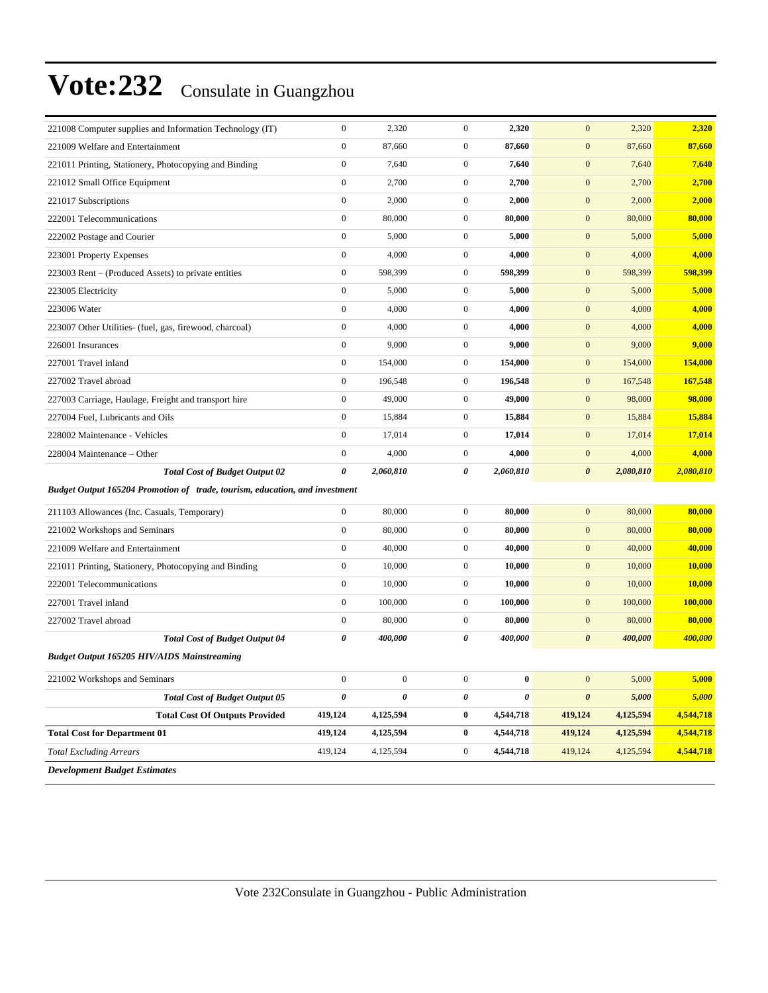| 221008 Computer supplies and Information Technology (IT)                    | $\boldsymbol{0}$ | 2,320            | $\mathbf{0}$     | 2,320     | $\mathbf{0}$          | 2,320     | 2,320          |
|-----------------------------------------------------------------------------|------------------|------------------|------------------|-----------|-----------------------|-----------|----------------|
| 221009 Welfare and Entertainment                                            | $\boldsymbol{0}$ | 87,660           | $\boldsymbol{0}$ | 87,660    | $\boldsymbol{0}$      | 87,660    | 87,660         |
| 221011 Printing, Stationery, Photocopying and Binding                       | $\boldsymbol{0}$ | 7,640            | $\mathbf{0}$     | 7,640     | $\boldsymbol{0}$      | 7,640     | 7,640          |
| 221012 Small Office Equipment                                               | $\boldsymbol{0}$ | 2,700            | $\mathbf{0}$     | 2,700     | $\boldsymbol{0}$      | 2,700     | 2,700          |
| 221017 Subscriptions                                                        | $\boldsymbol{0}$ | 2,000            | $\mathbf{0}$     | 2,000     | $\boldsymbol{0}$      | 2,000     | 2,000          |
| 222001 Telecommunications                                                   | $\boldsymbol{0}$ | 80,000           | $\mathbf{0}$     | 80,000    | $\boldsymbol{0}$      | 80,000    | 80,000         |
| 222002 Postage and Courier                                                  | $\boldsymbol{0}$ | 5,000            | $\mathbf{0}$     | 5,000     | $\boldsymbol{0}$      | 5,000     | 5,000          |
| 223001 Property Expenses                                                    | $\boldsymbol{0}$ | 4,000            | $\mathbf{0}$     | 4,000     | $\boldsymbol{0}$      | 4,000     | 4,000          |
| 223003 Rent – (Produced Assets) to private entities                         | $\boldsymbol{0}$ | 598.399          | $\mathbf{0}$     | 598,399   | $\boldsymbol{0}$      | 598,399   | 598,399        |
| 223005 Electricity                                                          | $\boldsymbol{0}$ | 5,000            | $\mathbf{0}$     | 5,000     | $\boldsymbol{0}$      | 5,000     | 5,000          |
| 223006 Water                                                                | $\boldsymbol{0}$ | 4,000            | $\mathbf{0}$     | 4,000     | $\boldsymbol{0}$      | 4,000     | 4,000          |
| 223007 Other Utilities- (fuel, gas, firewood, charcoal)                     | $\boldsymbol{0}$ | 4,000            | $\mathbf{0}$     | 4,000     | $\boldsymbol{0}$      | 4,000     | 4,000          |
| 226001 Insurances                                                           | $\boldsymbol{0}$ | 9,000            | $\mathbf{0}$     | 9,000     | $\boldsymbol{0}$      | 9,000     | 9,000          |
| 227001 Travel inland                                                        | $\boldsymbol{0}$ | 154,000          | $\mathbf{0}$     | 154,000   | $\boldsymbol{0}$      | 154,000   | 154,000        |
| 227002 Travel abroad                                                        | $\boldsymbol{0}$ | 196,548          | $\mathbf{0}$     | 196,548   | $\boldsymbol{0}$      | 167,548   | 167,548        |
| 227003 Carriage, Haulage, Freight and transport hire                        | $\boldsymbol{0}$ | 49,000           | $\mathbf{0}$     | 49,000    | $\boldsymbol{0}$      | 98,000    | 98,000         |
| 227004 Fuel, Lubricants and Oils                                            | $\boldsymbol{0}$ | 15,884           | $\mathbf{0}$     | 15,884    | $\boldsymbol{0}$      | 15,884    | 15,884         |
| 228002 Maintenance - Vehicles                                               | $\boldsymbol{0}$ | 17,014           | $\mathbf{0}$     | 17,014    | $\boldsymbol{0}$      | 17,014    | 17,014         |
| 228004 Maintenance - Other                                                  | $\boldsymbol{0}$ | 4,000            | $\mathbf{0}$     | 4,000     | $\boldsymbol{0}$      | 4,000     | 4,000          |
| <b>Total Cost of Budget Output 02</b>                                       | 0                | 2,060,810        | 0                | 2,060,810 | $\boldsymbol{\theta}$ | 2,080,810 | 2,080,810      |
| Budget Output 165204 Promotion of trade, tourism, education, and investment |                  |                  |                  |           |                       |           |                |
| 211103 Allowances (Inc. Casuals, Temporary)                                 | $\boldsymbol{0}$ | 80,000           | $\mathbf{0}$     | 80,000    | $\boldsymbol{0}$      | 80,000    | 80,000         |
| 221002 Workshops and Seminars                                               | $\boldsymbol{0}$ | 80,000           | $\mathbf{0}$     | 80,000    | $\mathbf{0}$          | 80,000    | 80,000         |
| 221009 Welfare and Entertainment                                            | $\boldsymbol{0}$ | 40,000           | $\mathbf{0}$     | 40,000    | $\mathbf{0}$          | 40,000    | 40,000         |
| 221011 Printing, Stationery, Photocopying and Binding                       | $\boldsymbol{0}$ | 10,000           | $\mathbf{0}$     | 10,000    | $\mathbf{0}$          | 10,000    | 10,000         |
| 222001 Telecommunications                                                   | $\boldsymbol{0}$ | 10,000           | $\mathbf{0}$     | 10,000    | $\boldsymbol{0}$      | 10,000    | 10,000         |
| 227001 Travel inland                                                        | $\boldsymbol{0}$ | 100,000          | $\mathbf{0}$     | 100,000   | $\boldsymbol{0}$      | 100,000   | <b>100,000</b> |
| 227002 Travel abroad                                                        | $\boldsymbol{0}$ | 80,000           | $\mathbf{0}$     | 80,000    | $\boldsymbol{0}$      | 80,000    | 80,000         |
| <b>Total Cost of Budget Output 04</b>                                       | 0                | 400,000          | 0                | 400,000   | $\boldsymbol{\theta}$ | 400,000   | 400,000        |
| <b>Budget Output 165205 HIV/AIDS Mainstreaming</b>                          |                  |                  |                  |           |                       |           |                |
| 221002 Workshops and Seminars                                               | $\boldsymbol{0}$ | $\boldsymbol{0}$ | $\boldsymbol{0}$ | $\bf{0}$  | $\boldsymbol{0}$      | 5,000     | 5,000          |
| <b>Total Cost of Budget Output 05</b>                                       | 0                | 0                | 0                | 0         | $\pmb{\theta}$        | 5,000     | 5,000          |
| <b>Total Cost Of Outputs Provided</b>                                       | 419,124          | 4,125,594        | $\bf{0}$         | 4,544,718 | 419,124               | 4,125,594 | 4,544,718      |
| <b>Total Cost for Department 01</b>                                         | 419,124          | 4,125,594        | $\bf{0}$         | 4,544,718 | 419,124               | 4,125,594 | 4,544,718      |
| <b>Total Excluding Arrears</b>                                              | 419,124          | 4,125,594        | $\boldsymbol{0}$ | 4,544,718 | 419,124               | 4,125,594 | 4,544,718      |
| <b>Development Budget Estimates</b>                                         |                  |                  |                  |           |                       |           |                |